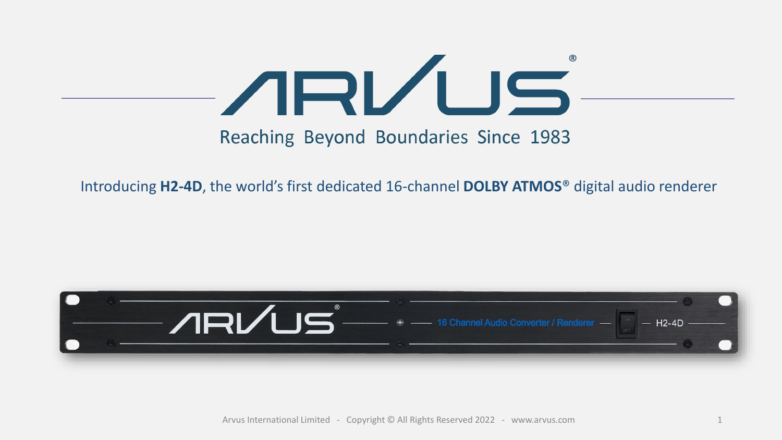

# Reaching Beyond Boundaries Since 1983

Introducing **H2-4D**, the world's first dedicated 16-channel **DOLBY ATMOS**® digital audio renderer



Arvus International Limited - Copyright © All Rights Reserved 2022 - www.arvus.com 1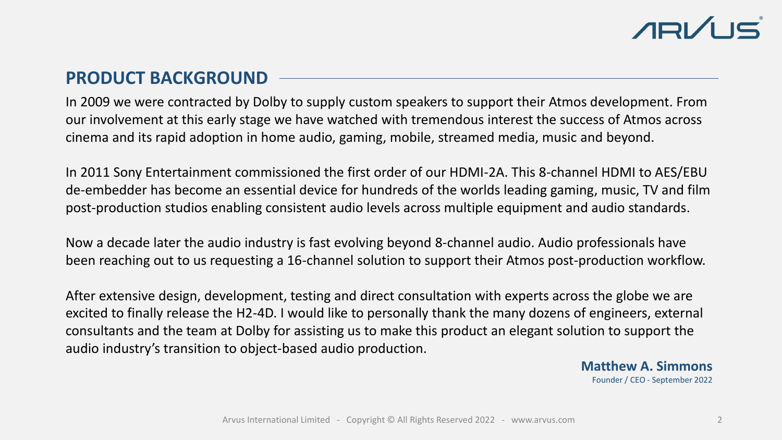# **PRODUCT BACKGROUND**

In 2009 we were contracted by Dolby to supply custom speakers to support their Atmos development. From our involvement at this early stage we have watched with tremendous interest the success of Atmos across cinema and its rapid adoption in home audio, gaming, mobile, streamed media, music and beyond.

In 2011 Sony Entertainment commissioned the first order of our HDMI-2A. This 8-channel HDMI to AES/EBU de-embedder has become an essential device for hundreds of the worlds leading gaming, music, TV and film post-production studios enabling consistent audio levels across multiple equipment and audio standards.

Now a decade later the audio industry is fast evolving beyond 8-channel audio. Audio professionals have been reaching out to us requesting a 16-channel solution to support their Atmos post-production workflow.

After extensive design, development, testing and direct consultation with experts across the globe we are excited to finally release the H2-4D. I would like to personally thank the many dozens of engineers, external consultants and the team at Dolby for assisting us to make this product an elegant solution to support the audio industry's transition to object-based audio production.

> **Matthew A. Simmons** Founder / CEO - September 2022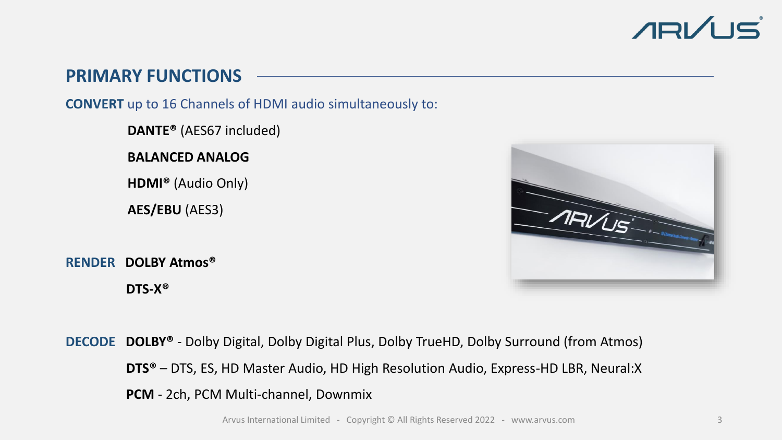

# **PRIMARY FUNCTIONS**

**CONVERT** up to 16 Channels of HDMI audio simultaneously to:

**DANTE®** (AES67 included)

**BALANCED ANALOG**

**HDMI®** (Audio Only)

**AES/EBU** (AES3)

**RENDER DOLBY Atmos® DTS-X®**



**DECODE DOLBY®** - Dolby Digital, Dolby Digital Plus, Dolby TrueHD, Dolby Surround (from Atmos) **DTS®** – DTS, ES, HD Master Audio, HD High Resolution Audio, Express-HD LBR, Neural:X **PCM** - 2ch, PCM Multi-channel, Downmix

Arvus International Limited - Copyright © All Rights Reserved 2022 - www.arvus.com 3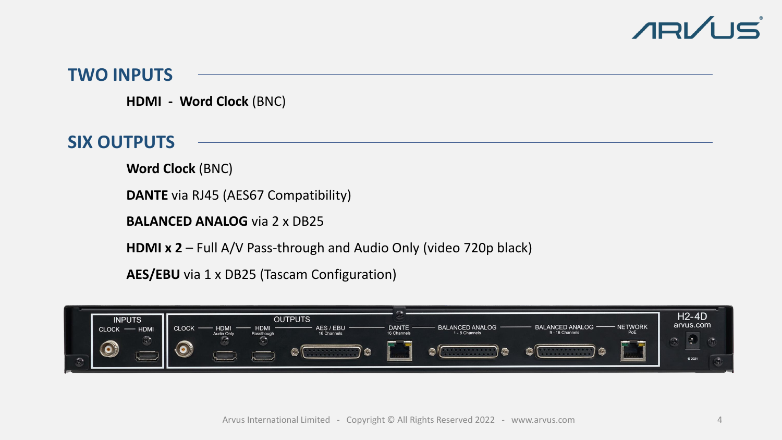

### **TWO INPUTS**

**HDMI - Word Clock** (BNC)

# **SIX OUTPUTS**

**Word Clock** (BNC)

**DANTE** via RJ45 (AES67 Compatibility)

**BALANCED ANALOG** via 2 x DB25

**HDMI x 2** – Full A/V Pass-through and Audio Only (video 720p black)

**AES/EBU** via 1 x DB25 (Tascam Configuration)

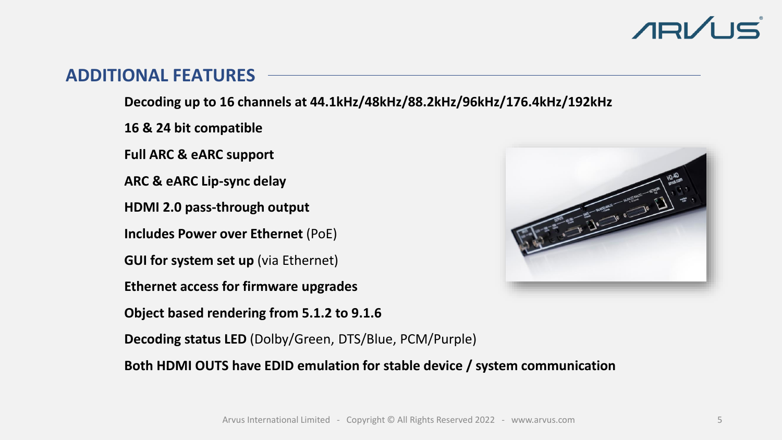# **ARVUS**

# **ADDITIONAL FEATURES**

**Decoding up to 16 channels at 44.1kHz/48kHz/88.2kHz/96kHz/176.4kHz/192kHz** 

**16 & 24 bit compatible**

**Full ARC & eARC support**

**ARC & eARC Lip-sync delay**

**HDMI 2.0 pass-through output** 

**Includes Power over Ethernet** (PoE)

**GUI for system set up** (via Ethernet)

**Ethernet access for firmware upgrades**

**Object based rendering from 5.1.2 to 9.1.6**



**Decoding status LED** (Dolby/Green, DTS/Blue, PCM/Purple)

**Both HDMI OUTS have EDID emulation for stable device / system communication**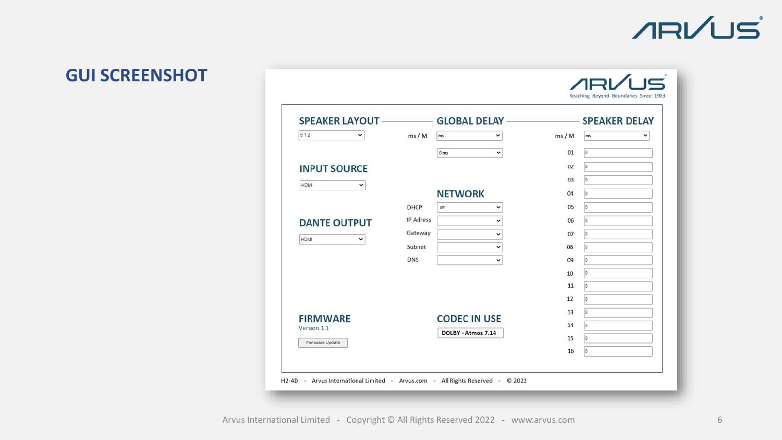# **ARVUS**

 $ABVUS$ 

# **GUI SCREENSHOT**

| 5.1.2                                                                                        |                  | v<br>ms                         |      | ms  |   |
|----------------------------------------------------------------------------------------------|------------------|---------------------------------|------|-----|---|
| v                                                                                            | ms/M             |                                 | ms/M |     | v |
|                                                                                              |                  | $\checkmark$<br>0 <sub>ms</sub> | 01   | 0   |   |
| <b>INPUT SOURCE</b>                                                                          |                  |                                 | 02   | o   |   |
| HDMI<br>v                                                                                    |                  |                                 | 03   | lo. |   |
|                                                                                              |                  | <b>NETWORK</b>                  | 04   | lo. |   |
| <b>DANTE OUTPUT</b><br><b>HDMI</b><br>v<br><b>FIRMWARE</b><br>Version 1.1<br>Firmware Update | DHCP             | off<br>◡                        | 05   | io. |   |
|                                                                                              | <b>IP Adress</b> | v                               | 06   | lo. |   |
|                                                                                              | Gateway          | ◡                               | 07   | 0   |   |
|                                                                                              | Subnet           | $\check{ }$                     | 08   | lo. |   |
|                                                                                              | <b>DNS</b>       | $\check{}$                      | 09   | 10  |   |
|                                                                                              |                  |                                 | 10   | o   |   |
|                                                                                              |                  |                                 | 11   | lo. |   |
|                                                                                              |                  |                                 | 12   | 0   |   |
|                                                                                              |                  | <b>CODEC IN USE</b>             | 13   | lo  |   |
|                                                                                              |                  | DOLBY - Atmos 7.14              | 14   | 10  |   |
|                                                                                              |                  |                                 | 15   | lo  |   |
|                                                                                              |                  |                                 | 16   | lo. |   |
|                                                                                              |                  |                                 |      |     |   |